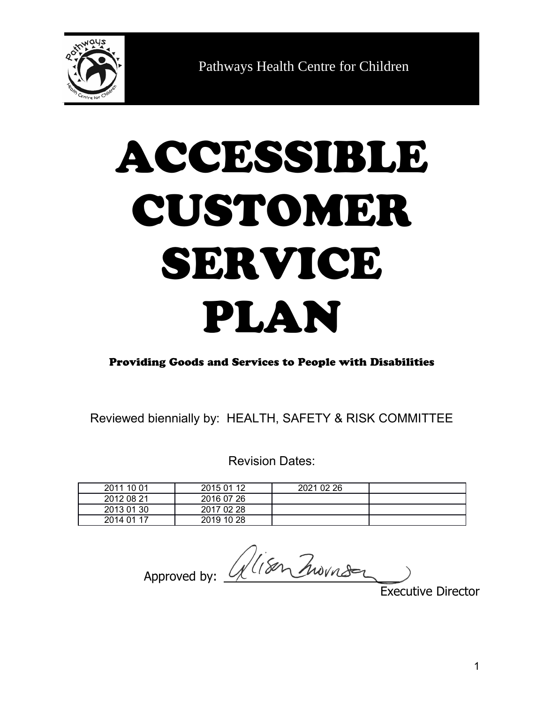

Pathways Health Centre for Children

# ACCESSIBLE CUSTOMER SERVICE PLAN

Providing Goods and Services to People with Disabilities

Reviewed biennially by: HEALTH, SAFETY & RISK COMMITTEE

Revision Dates:

| 2011 10 01 | 2015 01 12 | 2021 02 26 |  |
|------------|------------|------------|--|
| 2012 08 21 | 2016 07 26 |            |  |
| 2013 01 30 | 2017 02 28 |            |  |
| 2014 01 17 | 2019 10 28 |            |  |

Approved by: Alisen Zwornsen

Executive Director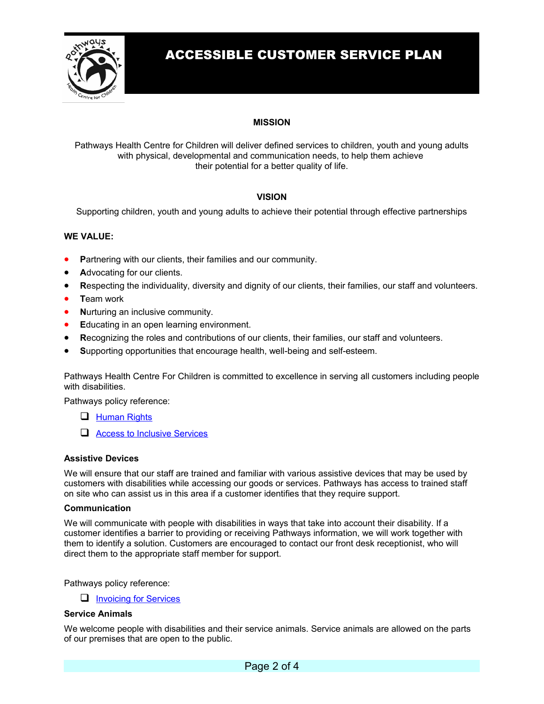

# ACCESSIBLE CUSTOMER SERVICE PLAN

# **MISSION**

Pathways Health Centre for Children will deliver defined services to children, youth and young adults with physical, developmental and communication needs, to help them achieve their potential for a better quality of life.

## **VISION**

Supporting children, youth and young adults to achieve their potential through effective partnerships

## **WE VALUE:**

- **P**artnering with our clients, their families and our community.
- **A**dvocating for our clients.
- **R**especting the individuality, diversity and dignity of our clients, their families, our staff and volunteers.
- **T**eam work
- **Nurturing an inclusive community.**
- **E**ducating in an open learning environment.
- **R**ecognizing the roles and contributions of our clients, their families, our staff and volunteers.
- **S**upporting opportunities that encourage health, well-being and self-esteem.

Pathways Health Centre For Children is committed to excellence in serving all customers including people with disabilities.

Pathways policy reference:

- **[Human Rights](file:///C:/Users/CR%20Creative/Downloads/Projects/Pathways%20Health%20Centre%20for%20Children/Design%20Assets/A_Website%20Pages/B_About/D_Quality%20&%20Safety/F:%5C%5CPOL&PROC%5C%5CSTAFF%20STUDENTS%20&%20VOLUNTEERS%5C%5CHumanRights.docx)**
- [Access to Inclusive Services](file:///C:/Users/CR%20Creative/Downloads/Projects/Pathways%20Health%20Centre%20for%20Children/Design%20Assets/A_Website%20Pages/B_About/D_Quality%20&%20Safety/..%2FCLIENTS%2FAccess%20to%20Inclusive%20Services.doc)

## **Assistive Devices**

We will ensure that our staff are trained and familiar with various assistive devices that may be used by customers with disabilities while accessing our goods or services. Pathways has access to trained staff on site who can assist us in this area if a customer identifies that they require support.

## **Communication**

We will communicate with people with disabilities in ways that take into account their disability. If a customer identifies a barrier to providing or receiving Pathways information, we will work together with them to identify a solution. Customers are encouraged to contact our front desk receptionist, who will direct them to the appropriate staff member for support.

Pathways policy reference:

 $\Box$  [Invoicing for Services](file:///C:/Users/CR%20Creative/Downloads/Projects/Pathways%20Health%20Centre%20for%20Children/Design%20Assets/A_Website%20Pages/B_About/D_Quality%20&%20Safety/..%2FCLIENTS%2FInvoicing%20for%20Services.docx)

## **Service Animals**

We welcome people with disabilities and their service animals. Service animals are allowed on the parts of our premises that are open to the public.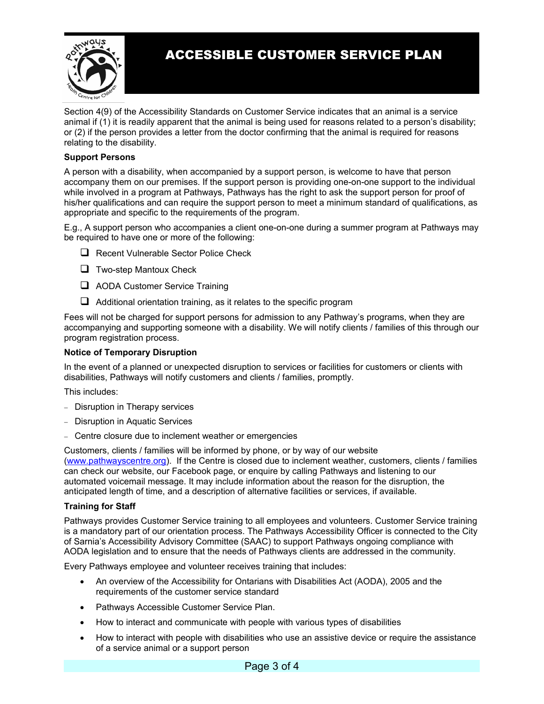

# ACCESSIBLE CUSTOMER SERVICE PLAN

Section 4(9) of the Accessibility Standards on Customer Service indicates that an animal is a service animal if (1) it is readily apparent that the animal is being used for reasons related to a person's disability; or (2) if the person provides a letter from the doctor confirming that the animal is required for reasons relating to the disability.

## **Support Persons**

A person with a disability, when accompanied by a support person, is welcome to have that person accompany them on our premises. If the support person is providing one-on-one support to the individual while involved in a program at Pathways, Pathways has the right to ask the support person for proof of his/her qualifications and can require the support person to meet a minimum standard of qualifications, as appropriate and specific to the requirements of the program.

E.g., A support person who accompanies a client one-on-one during a summer program at Pathways may be required to have one or more of the following:

- Recent Vulnerable Sector Police Check
- $\Box$  Two-step Mantoux Check
- AODA Customer Service Training
- $\Box$  Additional orientation training, as it relates to the specific program

Fees will not be charged for support persons for admission to any Pathway's programs, when they are accompanying and supporting someone with a disability. We will notify clients / families of this through our program registration process.

## **Notice of Temporary Disruption**

In the event of a planned or unexpected disruption to services or facilities for customers or clients with disabilities, Pathways will notify customers and clients / families, promptly.

This includes:

- Disruption in Therapy services
- Disruption in Aquatic Services
- Centre closure due to inclement weather or emergencies

Customers, clients / families will be informed by phone, or by way of our website [\(www.pathwayscentre.org\)](http://www.pathwayscentre.org/). If the Centre is closed due to inclement weather, customers, clients / families can check our website, our Facebook page, or enquire by calling Pathways and listening to our automated voicemail message. It may include information about the reason for the disruption, the anticipated length of time, and a description of alternative facilities or services, if available.

## **Training for Staff**

Pathways provides Customer Service training to all employees and volunteers. Customer Service training is a mandatory part of our orientation process. The Pathways Accessibility Officer is connected to the City of Sarnia's Accessibility Advisory Committee (SAAC) to support Pathways ongoing compliance with AODA legislation and to ensure that the needs of Pathways clients are addressed in the community.

Every Pathways employee and volunteer receives training that includes:

- An overview of the Accessibility for Ontarians with Disabilities Act (AODA), 2005 and the requirements of the customer service standard
- Pathways Accessible Customer Service Plan.
- How to interact and communicate with people with various types of disabilities
- How to interact with people with disabilities who use an assistive device or require the assistance of a service animal or a support person